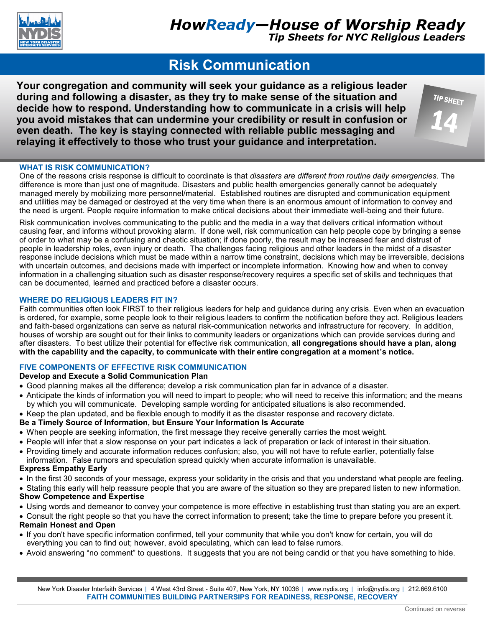

# **Risk Communication**

**Your congregation and community will seek your guidance as a religious leader during and following a disaster, as they try to make sense of the situation and decide how to respond. Understanding how to communicate in a crisis will help you avoid mistakes that can undermine your credibility or result in confusion or even death. The key is staying connected with reliable public messaging and relaying it effectively to those who trust your guidance and interpretation.**

# **WHAT IS RISK COMMUNICATION?**

One of the reasons crisis response is difficult to coordinate is that *disasters are different from routine daily emergencies.* The difference is more than just one of magnitude. Disasters and public health emergencies generally cannot be adequately managed merely by mobilizing more personnel/material. Established routines are disrupted and communication equipment and utilities may be damaged or destroyed at the very time when there is an enormous amount of information to convey and the need is urgent. People require information to make critical decisions about their immediate well-being and their future.

Risk communication involves communicating to the public and the media in a way that delivers critical information without causing fear, and informs without provoking alarm. If done well, risk communication can help people cope by bringing a sense of order to what may be a confusing and chaotic situation; if done poorly, the result may be increased fear and distrust of people in leadership roles, even injury or death. The challenges facing religious and other leaders in the midst of a disaster response include decisions which must be made within a narrow time constraint, decisions which may be irreversible, decisions with uncertain outcomes, and decisions made with imperfect or incomplete information. Knowing how and when to convey information in a challenging situation such as disaster response/recovery requires a specific set of skills and techniques that can be documented, learned and practiced before a disaster occurs.

# **WHERE DO RELIGIOUS LEADERS FIT IN?**

Faith communities often look FIRST to their religious leaders for help and guidance during any crisis. Even when an evacuation is ordered, for example, some people look to their religious leaders to confirm the notification before they act. Religious leaders and faith-based organizations can serve as natural risk-communication networks and infrastructure for recovery. In addition, houses of worship are sought out for their links to community leaders or organizations which can provide services during and after disasters. To best utilize their potential for effective risk communication, **all congregations should have a plan, along with the capability and the capacity, to communicate with their entire congregation at a moment's notice.** 

# **FIVE COMPONENTS OF EFFECTIVE RISK COMMUNICATION**

# **Develop and Execute a Solid Communication Plan**

- Good planning makes all the difference; develop a risk communication plan far in advance of a disaster.
- Anticipate the kinds of information you will need to impart to people; who will need to receive this information; and the means by which you will communicate. Developing sample wording for anticipated situations is also recommended.
- Keep the plan updated, and be flexible enough to modify it as the disaster response and recovery dictate.

# **Be a Timely Source of Information, but Ensure Your Information Is Accurate**

- When people are seeking information, the first message they receive generally carries the most weight.
- People will infer that a slow response on your part indicates a lack of preparation or lack of interest in their situation.
- Providing timely and accurate information reduces confusion; also, you will not have to refute earlier, potentially false information. False rumors and speculation spread quickly when accurate information is unavailable.

# **Express Empathy Early**

- In the first 30 seconds of your message, express your solidarity in the crisis and that you understand what people are feeling.
- Stating this early will help reassure people that you are aware of the situation so they are prepared listen to new information. **Show Competence and Expertise**
- Using words and demeanor to convey your competence is more effective in establishing trust than stating you are an expert.
- Consult the right people so that you have the correct information to present; take the time to prepare before you present it.

#### **Remain Honest and Open**

- If you don't have specific information confirmed, tell your community that while you don't know for certain, you will do everything you can to find out; however, avoid speculating, which can lead to false rumors.
- Avoid answering "no comment" to questions. It suggests that you are not being candid or that you have something to hide.

New York Disaster Interfaith Services | 4 West 43rd Street - Suite 407, New York, NY 10036 | www.nydis.org | info@nydis.org | 212.669.6100 **FAITH COMMUNITIES BUILDING PARTNERSIPS FOR READINESS, RESPONSE, RECOVERY**

TIP SHEET